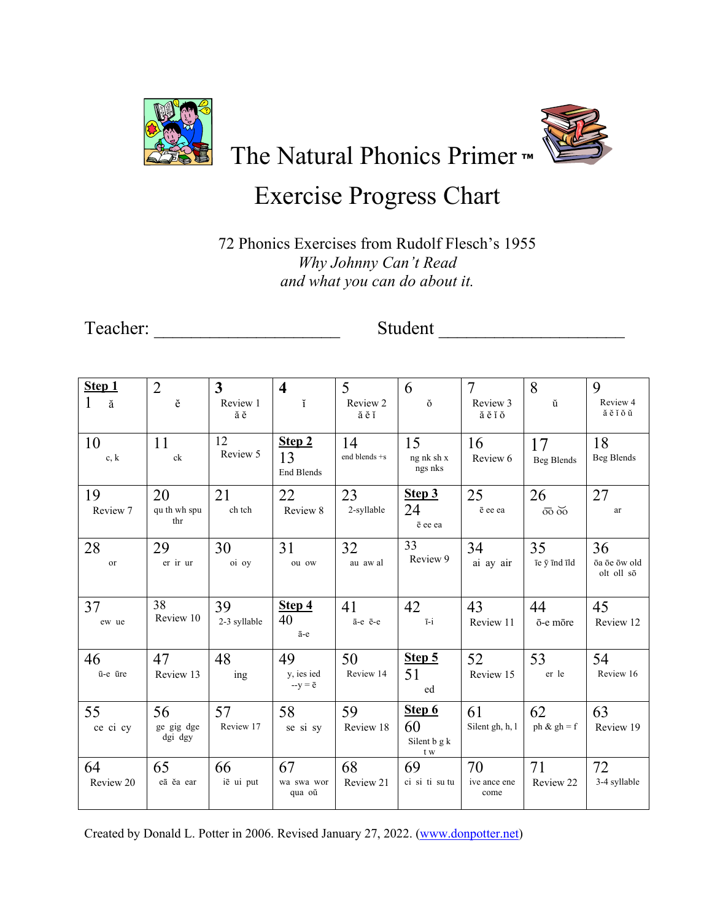

The Natural Phonics Primer™

## **Exercise Progress Chart**

72 Phonics Exercises from Rudolf Flesch's 1955 Why Johnny Can't Read and what you can do about it.

Student

| Step 1          | $\overline{2}$              | 3                  | $\overline{\mathbf{4}}$            | 5                   | 6                                   | $\overline{7}$             | 8                                     | 9                                |
|-----------------|-----------------------------|--------------------|------------------------------------|---------------------|-------------------------------------|----------------------------|---------------------------------------|----------------------------------|
| 1<br>ă          | ĕ                           | Review 1<br>ăĕ     | ĭ                                  | Review 2<br>ăĕĭ     | ŏ                                   | Review 3<br>ăĕĭŏ           | ŭ                                     | Review 4<br>ăĕĭŏŭ                |
| 10<br>c, k      | 11<br>ck                    | 12<br>Review 5     | Step 2<br>13<br><b>End Blends</b>  | 14<br>end blends +s | 15<br>ng nk sh x<br>ngs nks         | 16<br>Review 6             | 17<br>Beg Blends                      | 18<br>Beg Blends                 |
| 19<br>Review 7  | 20<br>qu th wh spu<br>thr   | 21<br>ch tch       | 22<br>Review 8                     | 23<br>2-syllable    | Step 3<br>24<br>ē ee ea             | 25<br>ē ee ea              | 26<br>$\overline{oo}$ $\overline{oo}$ | 27<br>ar                         |
| 28<br>or        | 29<br>er ir ur              | 30<br>oi oy        | 31<br>ou ow                        | 32<br>au aw al      | 33<br>Review 9                      | 34<br>ai ay air            | 35<br>īe $\bar{y}$ ind ild            | 36<br>ōa ōe ōw old<br>olt oll sō |
| 37<br>ew ue     | 38<br>Review 10             | 39<br>2-3 syllable | Step 4<br>40<br>ā-е                | 41<br>ā-e ē-e       | 42<br>$\overline{1}-\overline{1}$   | 43<br>Review 11            | 44<br>ō-e mōre                        | 45<br>Review 12                  |
| 46<br>ū-e ūre   | 47<br>Review 13             | 48<br>ing          | 49<br>y, ies ied<br>$-y = \bar{e}$ | 50<br>Review 14     | Step 5<br>51<br>ed                  | 52<br>Review 15            | 53<br>er le                           | 54<br>Review 16                  |
| 55<br>ce ci cy  | 56<br>ge gig dge<br>dgi dgy | 57<br>Review 17    | 58<br>se si sy                     | 59<br>Review 18     | Step 6<br>60<br>Silent b g k<br>t w | 61<br>Silent gh, h, l      | 62<br>ph & $gh = f$                   | 63<br>Review 19                  |
| 64<br>Review 20 | 65<br>eā ĕa ear             | 66<br>iē ui put    | 67<br>wa swa wor<br>qua oŭ         | 68<br>Review 21     | 69<br>ci si ti su tu                | 70<br>ive ance ene<br>come | 71<br>Review 22                       | 72<br>3-4 syllable               |

Created by Donald L. Potter in 2006. Revised January 27, 2022. (www.donpotter.net)